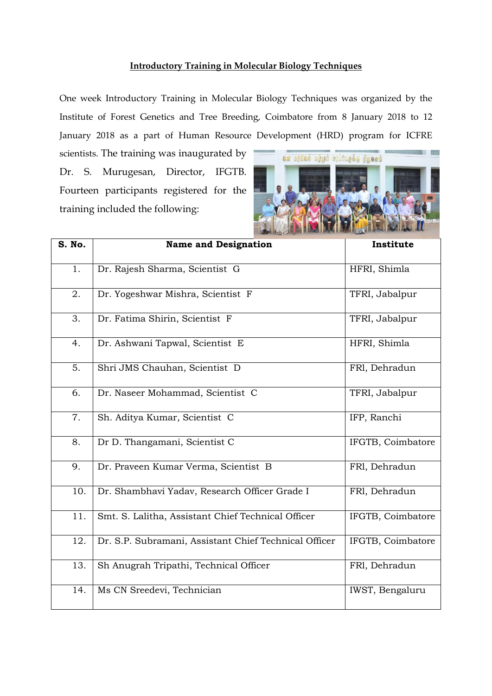## **Introductory Training in Molecular Biology Techniques**

One week Introductory Training in Molecular Biology Techniques was organized by the Institute of Forest Genetics and Tree Breeding, Coimbatore from 8 January 2018 to 12 January 2018 as a part of Human Resource Development (HRD) program for ICFRE

scientists. The training was inaugurated by Dr. S. Murugesan, Director, IFGTB. Fourteen participants registered for the training included the following:



| S. No. | <b>Name and Designation</b>                           | Institute         |
|--------|-------------------------------------------------------|-------------------|
| 1.     | Dr. Rajesh Sharma, Scientist G                        | HFRI, Shimla      |
| 2.     | Dr. Yogeshwar Mishra, Scientist F                     | TFRI, Jabalpur    |
| 3.     | Dr. Fatima Shirin, Scientist F                        | TFRI, Jabalpur    |
| 4.     | Dr. Ashwani Tapwal, Scientist E                       | HFRI, Shimla      |
| 5.     | Shri JMS Chauhan, Scientist D                         | FRI, Dehradun     |
| 6.     | Dr. Naseer Mohammad, Scientist C                      | TFRI, Jabalpur    |
| 7.     | Sh. Aditya Kumar, Scientist C                         | IFP, Ranchi       |
| 8.     | Dr D. Thangamani, Scientist C                         | IFGTB, Coimbatore |
| 9.     | Dr. Praveen Kumar Verma, Scientist B                  | FRI, Dehradun     |
| 10.    | Dr. Shambhavi Yadav, Research Officer Grade I         | FRI, Dehradun     |
| 11.    | Smt. S. Lalitha, Assistant Chief Technical Officer    | IFGTB, Coimbatore |
| 12.    | Dr. S.P. Subramani, Assistant Chief Technical Officer | IFGTB, Coimbatore |
| 13.    | Sh Anugrah Tripathi, Technical Officer                | FRI, Dehradun     |
| 14.    | Ms CN Sreedevi, Technician                            | IWST, Bengaluru   |